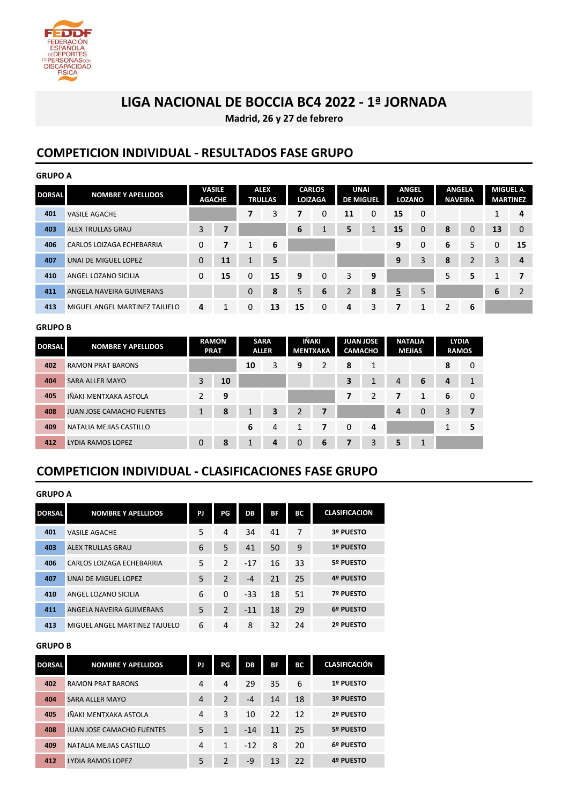

### **LIGA NACIONAL DE BOCCIA BC4 2022 - 1ª JORNADA**

**Madrid, 26 y 27 de febrero**

### **COMPETICION INDIVIDUAL - RESULTADOS FASE GRUPO**

| <b>GRUPO A</b> |                               |                                |                |                                                                                                                                      |    |    |   |                                 |           |                         |             |                |   |    |                |
|----------------|-------------------------------|--------------------------------|----------------|--------------------------------------------------------------------------------------------------------------------------------------|----|----|---|---------------------------------|-----------|-------------------------|-------------|----------------|---|----|----------------|
| <b>DORSAL</b>  | <b>NOMBRE Y APELLIDOS</b>     | <b>VASILE</b><br><b>AGACHE</b> |                | <b>CARLOS</b><br><b>ALEX</b><br><b>UNAI</b><br><b>ANGEL</b><br><b>LOZANO</b><br><b>TRULLAS</b><br><b>LOIZAGA</b><br><b>DE MIGUEL</b> |    |    |   | <b>ANGELA</b><br><b>NAVEIRA</b> | MIGUEL A. | <b>MARTINEZ</b>         |             |                |   |    |                |
| 401            | <b>VASILE AGACHE</b>          |                                |                | 7                                                                                                                                    | 3  | 7  | 0 | 11                              | 0         | 15                      | 0           |                |   | 1  | 4              |
| 403            | <b>ALEX TRULLAS GRAU</b>      | 3                              | $\overline{7}$ |                                                                                                                                      |    | 6  |   | 5                               |           | 15                      | $\mathbf 0$ | 8              | 0 | 13 | $\mathbf 0$    |
| 406            | CARLOS LOIZAGA ECHEBARRIA     | $\mathbf 0$                    | 7              | 1                                                                                                                                    | 6  |    |   |                                 |           | 9                       | $\mathbf 0$ | 6              | 5 | 0  | 15             |
| 407            | <b>UNAI DE MIGUEL LOPEZ</b>   | $\mathbf 0$                    | 11             | $\mathbf{1}$                                                                                                                         | 5  |    |   |                                 |           | 9                       | 3           | 8              | 2 | 3  | 4              |
| 410            | ANGEL LOZANO SICILIA          | $\Omega$                       | 15             | 0                                                                                                                                    | 15 | 9  | 0 | 3                               | 9         |                         |             | 5              | 5 | 1  | 7              |
| 411            | ANGELA NAVEIRA GUIMERANS      |                                |                | $\mathbf 0$                                                                                                                          | 8  | 5  | 6 | $\overline{2}$                  | 8         | $\overline{\mathbf{5}}$ | 5           |                |   | 6  | $\overline{2}$ |
| 413            | MIGUEL ANGEL MARTINEZ TAJUELO | 4                              | 1              | 0                                                                                                                                    | 13 | 15 | 0 | 4                               | 3         | 7                       | 1           | $\overline{2}$ | 6 |    |                |

#### **GRUPO B**

| <b>DORSAL</b> | <b>NOMBRE Y APELLIDOS</b>        | <b>PRAT</b> | <b>RAMON</b> | <b>SARA</b><br><b>ALLER</b> |   | IÑAKI<br><b>JUAN JOSE</b><br><b>CAMACHO</b><br>MENTXAKA |   | <b>NATALIA</b><br><b>MEJIAS</b> |                | <b>LYDIA</b><br><b>RAMOS</b> |          |   |   |
|---------------|----------------------------------|-------------|--------------|-----------------------------|---|---------------------------------------------------------|---|---------------------------------|----------------|------------------------------|----------|---|---|
| 402           | <b>RAMON PRAT BARONS</b>         |             |              | 10                          | 3 | 9                                                       | 2 | 8                               | 1              |                              |          | 8 | 0 |
| 404           | <b>SARA ALLER MAYO</b>           | 3           | 10           |                             |   |                                                         |   | 3                               | 1              | $\overline{4}$               | 6        | 4 |   |
| 405           | IÑAKI MENTXAKA ASTOLA            | C.          | 9            |                             |   |                                                         |   |                                 | $\overline{2}$ | 7                            | 1        | 6 | 0 |
| 408           | <b>JUAN JOSE CAMACHO FUENTES</b> | $\mathbf 1$ | 8            |                             | 3 | $\overline{2}$                                          | 7 |                                 |                | 4                            | $\Omega$ | 3 |   |
| 409           | NATALIA MEJIAS CASTILLO          |             |              | 6                           | 4 | 1                                                       | 7 | $\Omega$                        | 4              |                              |          |   | 5 |
| 412           | LYDIA RAMOS LOPEZ                | $\Omega$    | 8            |                             | 4 | 0                                                       | 6 | 7                               | 3              | 5                            |          |   |   |

### **COMPETICION INDIVIDUAL - CLASIFICACIONES FASE GRUPO**

| <b>GRUPO A</b> |                               |    |                |       |           |    |                      |
|----------------|-------------------------------|----|----------------|-------|-----------|----|----------------------|
| <b>DORSAL</b>  | <b>NOMBRE Y APELLIDOS</b>     | PJ | PG             | DB    | <b>BF</b> | BС | <b>CLASIFICACION</b> |
| 401            | <b>VASILE AGACHE</b>          | 5  | 4              | 34    | 41        | 7  | 3º PUESTO            |
| 403            | <b>ALEX TRULLAS GRAU</b>      | 6  | 5              | 41    | 50        | 9  | 1º PUESTO            |
| 406            | CARLOS LOIZAGA ECHEBARRIA     | 5  | $\mathcal{P}$  | $-17$ | 16        | 33 | 5º PUESTO            |
| 407            | UNAI DE MIGUEL LOPEZ          | 5  | $\overline{2}$ | $-4$  | 21        | 25 | 4º PUESTO            |
| 410            | ANGEL LOZANO SICILIA          | 6  | $\Omega$       | $-33$ | 18        | 51 | 7º PUESTO            |
| 411            | ANGELA NAVEIRA GUIMERANS      | 5  | $\overline{2}$ | $-11$ | 18        | 29 | 6º PUESTO            |
| 413            | MIGUEL ANGEL MARTINEZ TAJUELO | 6  | 4              | 8     | 32        | 24 | 2º PUESTO            |

#### **GRUPO B**

| <b>DORSAL</b> | <b>NOMBRE Y APELLIDOS</b>        | PJ             | PG             | DB    | BF | ВC | <b>CLASIFICACIÓN</b> |
|---------------|----------------------------------|----------------|----------------|-------|----|----|----------------------|
| 402           | <b>RAMON PRAT BARONS</b>         | 4              | 4              | 29    | 35 | 6  | 1º PUESTO            |
| 404           | <b>SARA ALLER MAYO</b>           | $\overline{4}$ | $\mathfrak{p}$ | $-4$  | 14 | 18 | 3º PUESTO            |
| 405           | IÑAKI MENTXAKA ASTOLA            | 4              | 3              | 10    | 22 | 12 | 2º PUESTO            |
| 408           | <b>JUAN JOSE CAMACHO FUENTES</b> | 5              | 1              | $-14$ | 11 | 25 | 5º PUESTO            |
| 409           | NATALIA MEJIAS CASTILLO          | 4              | 1              | $-12$ | 8  | 20 | 6º PUESTO            |
| 412           | LYDIA RAMOS LOPEZ                | 5              | <sup>2</sup>   | $-9$  | 13 | 22 | 4º PUESTO            |